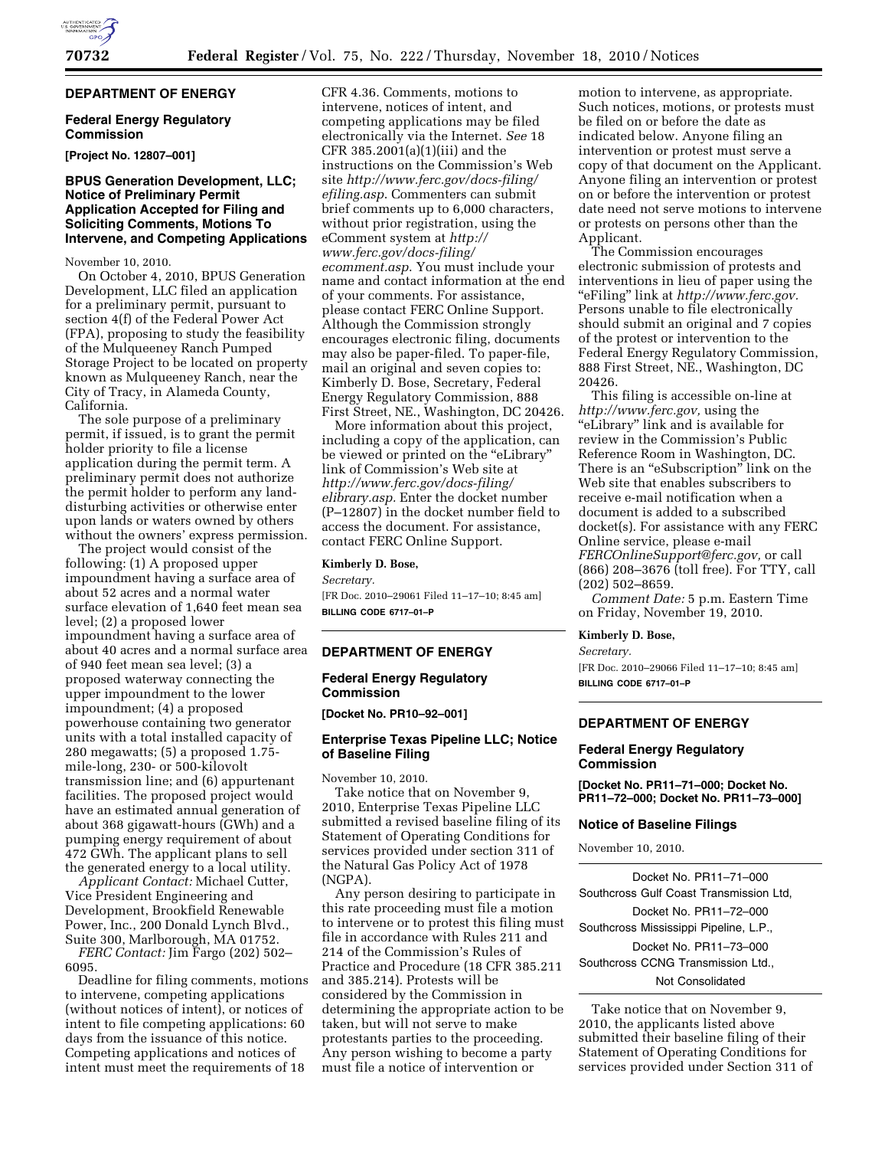# **DEPARTMENT OF ENERGY**

# **Federal Energy Regulatory Commission**

**[Project No. 12807–001]** 

## **BPUS Generation Development, LLC; Notice of Preliminary Permit Application Accepted for Filing and Soliciting Comments, Motions To Intervene, and Competing Applications**

November 10, 2010.

On October 4, 2010, BPUS Generation Development, LLC filed an application for a preliminary permit, pursuant to section 4(f) of the Federal Power Act (FPA), proposing to study the feasibility of the Mulqueeney Ranch Pumped Storage Project to be located on property known as Mulqueeney Ranch, near the City of Tracy, in Alameda County, California.

The sole purpose of a preliminary permit, if issued, is to grant the permit holder priority to file a license application during the permit term. A preliminary permit does not authorize the permit holder to perform any landdisturbing activities or otherwise enter upon lands or waters owned by others without the owners' express permission.

The project would consist of the following: (1) A proposed upper impoundment having a surface area of about 52 acres and a normal water surface elevation of 1,640 feet mean sea level; (2) a proposed lower impoundment having a surface area of about 40 acres and a normal surface area of 940 feet mean sea level; (3) a proposed waterway connecting the upper impoundment to the lower impoundment; (4) a proposed powerhouse containing two generator units with a total installed capacity of 280 megawatts; (5) a proposed 1.75 mile-long, 230- or 500-kilovolt transmission line; and (6) appurtenant facilities. The proposed project would have an estimated annual generation of about 368 gigawatt-hours (GWh) and a pumping energy requirement of about 472 GWh. The applicant plans to sell the generated energy to a local utility.

*Applicant Contact:* Michael Cutter, Vice President Engineering and Development, Brookfield Renewable Power, Inc., 200 Donald Lynch Blvd., Suite 300, Marlborough, MA 01752.

*FERC Contact:* Jim Fargo (202) 502– 6095.

Deadline for filing comments, motions to intervene, competing applications (without notices of intent), or notices of intent to file competing applications: 60 days from the issuance of this notice. Competing applications and notices of intent must meet the requirements of 18

CFR 4.36. Comments, motions to intervene, notices of intent, and competing applications may be filed electronically via the Internet. *See* 18 CFR 385.2001(a)(1)(iii) and the instructions on the Commission's Web site *[http://www.ferc.gov/docs-filing/](http://www.ferc.gov/docs-filing/efiling.asp) [efiling.asp](http://www.ferc.gov/docs-filing/efiling.asp)*. Commenters can submit brief comments up to 6,000 characters, without prior registration, using the eComment system at *[http://](http://www.ferc.gov/docs-filing/ecomment.asp) [www.ferc.gov/docs-filing/](http://www.ferc.gov/docs-filing/ecomment.asp)  [ecomment.asp](http://www.ferc.gov/docs-filing/ecomment.asp)*. You must include your name and contact information at the end of your comments. For assistance, please contact FERC Online Support. Although the Commission strongly encourages electronic filing, documents may also be paper-filed. To paper-file, mail an original and seven copies to: Kimberly D. Bose, Secretary, Federal Energy Regulatory Commission, 888 First Street, NE., Washington, DC 20426.

More information about this project, including a copy of the application, can be viewed or printed on the "eLibrary" link of Commission's Web site at *[http://www.ferc.gov/docs-filing/](http://www.ferc.gov/docs-filing/elibrary.asp) [elibrary.asp.](http://www.ferc.gov/docs-filing/elibrary.asp)* Enter the docket number (P–12807) in the docket number field to access the document. For assistance, contact FERC Online Support.

#### **Kimberly D. Bose,**

*Secretary.* 

[FR Doc. 2010–29061 Filed 11–17–10; 8:45 am] **BILLING CODE 6717–01–P** 

#### **DEPARTMENT OF ENERGY**

# **Federal Energy Regulatory Commission**

**[Docket No. PR10–92–001]** 

# **Enterprise Texas Pipeline LLC; Notice of Baseline Filing**

November 10, 2010.

Take notice that on November 9, 2010, Enterprise Texas Pipeline LLC submitted a revised baseline filing of its Statement of Operating Conditions for services provided under section 311 of the Natural Gas Policy Act of 1978 (NGPA).

Any person desiring to participate in this rate proceeding must file a motion to intervene or to protest this filing must file in accordance with Rules 211 and 214 of the Commission's Rules of Practice and Procedure (18 CFR 385.211 and 385.214). Protests will be considered by the Commission in determining the appropriate action to be taken, but will not serve to make protestants parties to the proceeding. Any person wishing to become a party must file a notice of intervention or

motion to intervene, as appropriate. Such notices, motions, or protests must be filed on or before the date as indicated below. Anyone filing an intervention or protest must serve a copy of that document on the Applicant. Anyone filing an intervention or protest on or before the intervention or protest date need not serve motions to intervene or protests on persons other than the Applicant.

The Commission encourages electronic submission of protests and interventions in lieu of paper using the ''eFiling'' link at *[http://www.ferc.gov.](http://www.ferc.gov)*  Persons unable to file electronically should submit an original and 7 copies of the protest or intervention to the Federal Energy Regulatory Commission, 888 First Street, NE., Washington, DC 20426.

This filing is accessible on-line at *[http://www.ferc.gov,](http://www.ferc.gov)* using the ''eLibrary'' link and is available for review in the Commission's Public Reference Room in Washington, DC. There is an "eSubscription" link on the Web site that enables subscribers to receive e-mail notification when a document is added to a subscribed docket(s). For assistance with any FERC Online service, please e-mail *[FERCOnlineSupport@ferc.gov,](mailto:FERCOnlineSupport@ferc.gov)* or call (866) 208–3676 (toll free). For TTY, call (202) 502–8659.

*Comment Date:* 5 p.m. Eastern Time on Friday, November 19, 2010.

#### **Kimberly D. Bose,**

*Secretary.* 

[FR Doc. 2010–29066 Filed 11–17–10; 8:45 am] **BILLING CODE 6717–01–P** 

# **DEPARTMENT OF ENERGY**

## **Federal Energy Regulatory Commission**

**[Docket No. PR11–71–000; Docket No. PR11–72–000; Docket No. PR11–73–000]** 

### **Notice of Baseline Filings**

November 10, 2010.

Docket No. PR11–71–000 Southcross Gulf Coast Transmission Ltd, Docket No. PR11–72–000 Southcross Mississippi Pipeline, L.P., Docket No. PR11–73–000 Southcross CCNG Transmission Ltd., Not Consolidated

Take notice that on November 9, 2010, the applicants listed above submitted their baseline filing of their Statement of Operating Conditions for services provided under Section 311 of